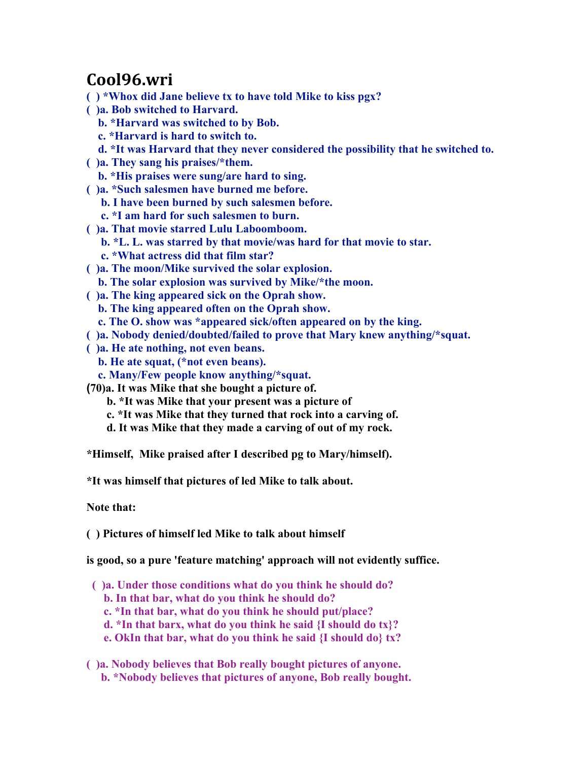## **Cool96.wri**

- **( ) \*Whox did Jane believe tx to have told Mike to kiss pgx?**
- **( )a. Bob switched to Harvard.**
	- **b. \*Harvard was switched to by Bob.**
	- **c. \*Harvard is hard to switch to.**
	- **d. \*It was Harvard that they never considered the possibility that he switched to.**
- **( )a. They sang his praises/\*them.**
	- **b. \*His praises were sung/are hard to sing.**
- **( )a. \*Such salesmen have burned me before.**
	- **b. I have been burned by such salesmen before.**
	- **c. \*I am hard for such salesmen to burn.**
- **( )a. That movie starred Lulu Laboomboom.**
	- **b. \*L. L. was starred by that movie/was hard for that movie to star.**
	- **c. \*What actress did that film star?**
- **( )a. The moon/Mike survived the solar explosion.**
- **b. The solar explosion was survived by Mike/\*the moon.**
- **( )a. The king appeared sick on the Oprah show.**
- **b. The king appeared often on the Oprah show.**
	- **c. The O. show was \*appeared sick/often appeared on by the king.**
- **( )a. Nobody denied/doubted/failed to prove that Mary knew anything/\*squat.**
- **( )a. He ate nothing, not even beans.**
	- **b. He ate squat, (\*not even beans).**
	- **c. Many/Few people know anything/\*squat.**
- **(70)a. It was Mike that she bought a picture of.**
	- **b. \*It was Mike that your present was a picture of**
	- **c. \*It was Mike that they turned that rock into a carving of.**
	- **d. It was Mike that they made a carving of out of my rock.**
- **\*Himself, Mike praised after I described pg to Mary/himself).**
- **\*It was himself that pictures of led Mike to talk about.**

**Note that:**

**( ) Pictures of himself led Mike to talk about himself**

**is good, so a pure 'feature matching' approach will not evidently suffice.**

- **( )a. Under those conditions what do you think he should do?**
	- **b. In that bar, what do you think he should do?**
	- **c. \*In that bar, what do you think he should put/place?**
	- **d. \*In that barx, what do you think he said {I should do tx}?**
	- **e. OkIn that bar, what do you think he said {I should do} tx?**
- **( )a. Nobody believes that Bob really bought pictures of anyone.**
	- **b. \*Nobody believes that pictures of anyone, Bob really bought.**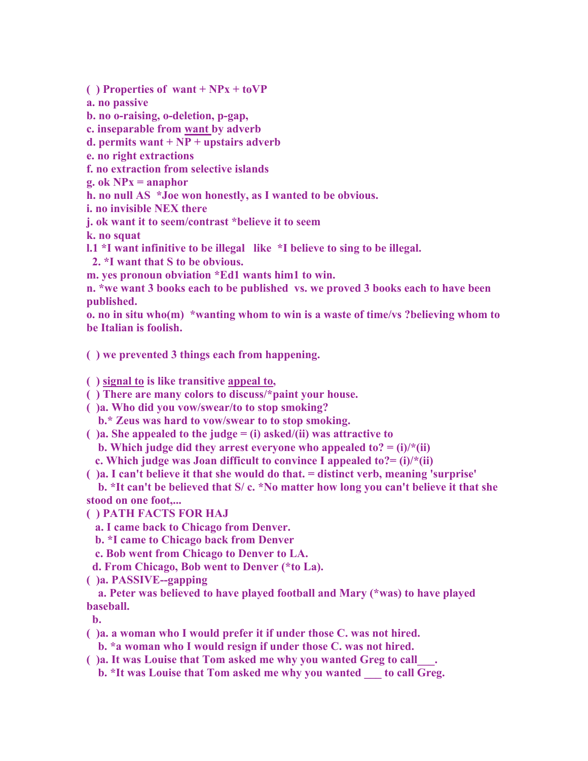**( ) Properties of want + NPx + toVP**

**a. no passive**

**b. no o-raising, o-deletion, p-gap,** 

**c. inseparable from want by adverb**

**d. permits want + NP + upstairs adverb**

**e. no right extractions**

**f. no extraction from selective islands**

**g. ok NPx = anaphor**

**h. no null AS \*Joe won honestly, as I wanted to be obvious.**

**i. no invisible NEX there**

**j. ok want it to seem/contrast \*believe it to seem**

**k. no squat**

**l.1 \*I want infinitive to be illegal like \*I believe to sing to be illegal.**

 **2. \*I want that S to be obvious.**

**m. yes pronoun obviation \*Ed1 wants him1 to win.**

**n. \*we want 3 books each to be published vs. we proved 3 books each to have been published.**

**o. no in situ who(m) \*wanting whom to win is a waste of time/vs ?believing whom to be Italian is foolish.**

**( ) we prevented 3 things each from happening.**

**( ) signal to is like transitive appeal to,**

**( ) There are many colors to discuss/\*paint your house.**

**( )a. Who did you vow/swear/to to stop smoking?**

 **b.\* Zeus was hard to vow/swear to to stop smoking.**

**( )a. She appealed to the judge = (i) asked/(ii) was attractive to**

**b.** Which judge did they arrest everyone who appealed to?  $=$  (i)/ $*(ii)$ 

 **c. Which judge was Joan difficult to convince I appealed to?= (i)/\*(ii)**

**( )a. I can't believe it that she would do that. = distinct verb, meaning 'surprise'**

 **b. \*It can't be believed that S/ c. \*No matter how long you can't believe it that she stood on one foot,...**

**( ) PATH FACTS FOR HAJ**

 **a. I came back to Chicago from Denver.**

 **b. \*I came to Chicago back from Denver**

 **c. Bob went from Chicago to Denver to LA.**

 **d. From Chicago, Bob went to Denver (\*to La).**

**( )a. PASSIVE--gapping**

 **a. Peter was believed to have played football and Mary (\*was) to have played baseball.**

 **b.** 

**( )a. a woman who I would prefer it if under those C. was not hired.**

 **b. \*a woman who I would resign if under those C. was not hired.**

**( )a. It was Louise that Tom asked me why you wanted Greg to call\_\_\_.**

**b.** \*It was Louise that Tom asked me why you wanted to call Greg.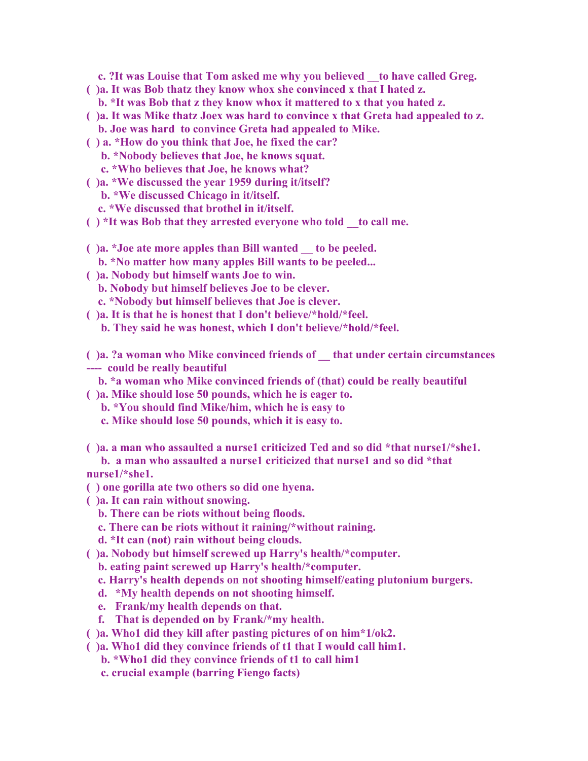**c. ?It was Louise that Tom asked me why you believed \_\_to have called Greg.**

- **( )a. It was Bob thatz they know whox she convinced x that I hated z.**
	- **b. \*It was Bob that z they know whox it mattered to x that you hated z.**
- **( )a. It was Mike thatz Joex was hard to convince x that Greta had appealed to z. b. Joe was hard to convince Greta had appealed to Mike.**
- **( ) a. \*How do you think that Joe, he fixed the car? b. \*Nobody believes that Joe, he knows squat.**
	- **c. \*Who believes that Joe, he knows what?**
- **( )a. \*We discussed the year 1959 during it/itself?**
	- **b. \*We discussed Chicago in it/itself.**
	- **c. \*We discussed that brothel in it/itself.**
- **( ) \*It was Bob that they arrested everyone who told \_\_to call me.**
- **( )a. \*Joe ate more apples than Bill wanted \_\_ to be peeled.**
	- **b. \*No matter how many apples Bill wants to be peeled...**
- **( )a. Nobody but himself wants Joe to win.**
	- **b. Nobody but himself believes Joe to be clever.**
	- **c. \*Nobody but himself believes that Joe is clever.**
- **( )a. It is that he is honest that I don't believe/\*hold/\*feel.**
	- **b. They said he was honest, which I don't believe/\*hold/\*feel.**
- **( )a. ?a woman who Mike convinced friends of \_\_ that under certain circumstances ---- could be really beautiful**
- 
- **b. \*a woman who Mike convinced friends of (that) could be really beautiful**
- **( )a. Mike should lose 50 pounds, which he is eager to.**
	- **b. \*You should find Mike/him, which he is easy to**
	- **c. Mike should lose 50 pounds, which it is easy to.**
- **( )a. a man who assaulted a nurse1 criticized Ted and so did \*that nurse1/\*she1.**
- **b. a man who assaulted a nurse1 criticized that nurse1 and so did \*that nurse1/\*she1.**
- **( ) one gorilla ate two others so did one hyena.**
- **( )a. It can rain without snowing.**
	- **b. There can be riots without being floods.**
	- **c. There can be riots without it raining/\*without raining.**
	- **d. \*It can (not) rain without being clouds.**
- **( )a. Nobody but himself screwed up Harry's health/\*computer.**
	- **b. eating paint screwed up Harry's health/\*computer.**
	- **c. Harry's health depends on not shooting himself/eating plutonium burgers.**
	- **d. \*My health depends on not shooting himself.**
	- **e. Frank/my health depends on that.**
	- **f. That is depended on by Frank/\*my health.**
- **( )a. Who1 did they kill after pasting pictures of on him\*1/ok2.**
- **( )a. Who1 did they convince friends of t1 that I would call him1.**
	- **b. \*Who1 did they convince friends of t1 to call him1**
	- **c. crucial example (barring Fiengo facts)**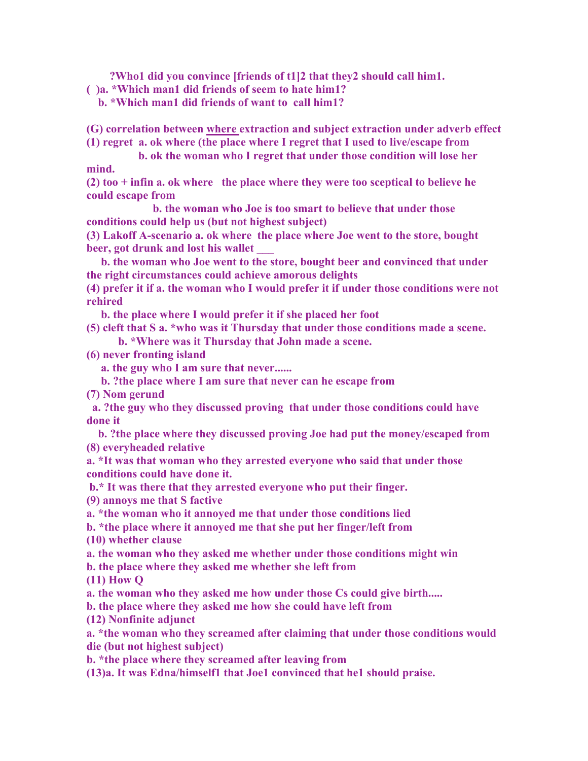**?Who1 did you convince [friends of t1]2 that they2 should call him1.**

**( )a. \*Which man1 did friends of seem to hate him1?**

 **b. \*Which man1 did friends of want to call him1?**

**(G) correlation between where extraction and subject extraction under adverb effect**

**(1) regret a. ok where (the place where I regret that I used to live/escape from**

 **b. ok the woman who I regret that under those condition will lose her mind.**

**(2) too + infin a. ok where the place where they were too sceptical to believe he could escape from**

 **b. the woman who Joe is too smart to believe that under those conditions could help us (but not highest subject)**

**(3) Lakoff A-scenario a. ok where the place where Joe went to the store, bought beer, got drunk and lost his wallet** 

 **b. the woman who Joe went to the store, bought beer and convinced that under the right circumstances could achieve amorous delights**

**(4) prefer it if a. the woman who I would prefer it if under those conditions were not rehired**

 **b. the place where I would prefer it if she placed her foot**

**(5) cleft that S a. \*who was it Thursday that under those conditions made a scene.**

 **b. \*Where was it Thursday that John made a scene.**

**(6) never fronting island**

 **a. the guy who I am sure that never......**

 **b. ?the place where I am sure that never can he escape from**

**(7) Nom gerund**

 **a. ?the guy who they discussed proving that under those conditions could have done it**

 **b. ?the place where they discussed proving Joe had put the money/escaped from (8) everyheaded relative**

**a. \*It was that woman who they arrested everyone who said that under those conditions could have done it.**

 **b.\* It was there that they arrested everyone who put their finger.**

**(9) annoys me that S factive**

**a. \*the woman who it annoyed me that under those conditions lied**

**b. \*the place where it annoyed me that she put her finger/left from**

**(10) whether clause**

**a. the woman who they asked me whether under those conditions might win**

**b. the place where they asked me whether she left from**

**(11) How Q**

**a. the woman who they asked me how under those Cs could give birth.....**

**b. the place where they asked me how she could have left from**

**(12) Nonfinite adjunct**

**a. \*the woman who they screamed after claiming that under those conditions would die (but not highest subject)**

**b. \*the place where they screamed after leaving from**

**(13)a. It was Edna/himself1 that Joe1 convinced that he1 should praise.**